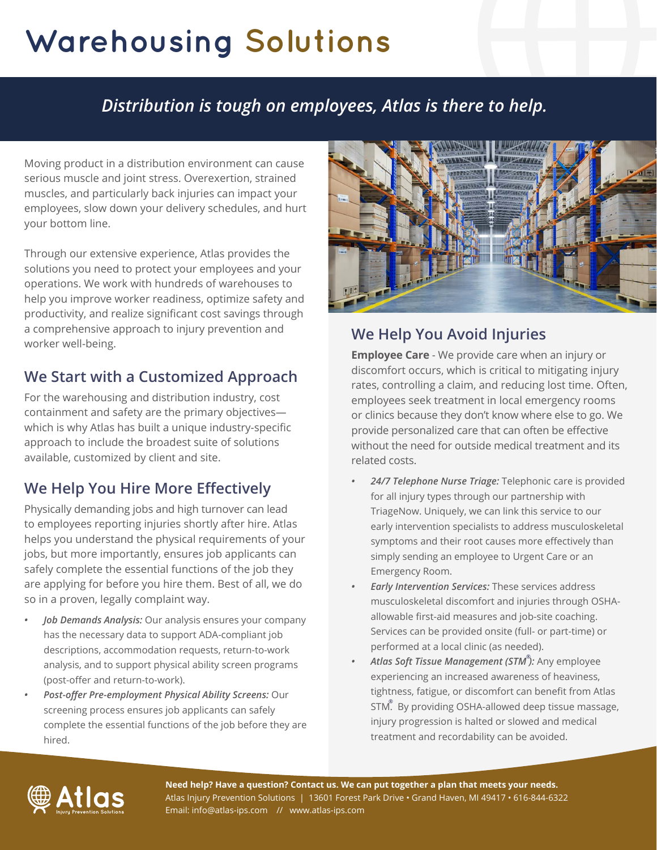# **Warehousing Solutions**

## *Distribution is tough on employees, Atlas is there to help.*

Moving product in a distribution environment can cause serious muscle and joint stress. Overexertion, strained muscles, and particularly back injuries can impact your employees, slow down your delivery schedules, and hurt your bottom line.

Through our extensive experience, Atlas provides the solutions you need to protect your employees and your operations. We work with hundreds of warehouses to help you improve worker readiness, optimize safety and productivity, and realize significant cost savings through a comprehensive approach to injury prevention and worker well-being.

#### **We Start with a Customized Approach**

For the warehousing and distribution industry, cost containment and safety are the primary objectives which is why Atlas has built a unique industry-specific approach to include the broadest suite of solutions available, customized by client and site.

#### **We Help You Hire More Effectively**

Physically demanding jobs and high turnover can lead to employees reporting injuries shortly after hire. Atlas helps you understand the physical requirements of your jobs, but more importantly, ensures job applicants can safely complete the essential functions of the job they are applying for before you hire them. Best of all, we do so in a proven, legally complaint way.

- *• Job Demands Analysis:* Our analysis ensures your company has the necessary data to support ADA-compliant job descriptions, accommodation requests, return-to-work analysis, and to support physical ability screen programs (post-offer and return-to-work).
- *• Post-offer Pre-employment Physical Ability Screens:* Our screening process ensures job applicants can safely complete the essential functions of the job before they are hired.



#### **We Help You Avoid Injuries**

**Employee Care** - We provide care when an injury or discomfort occurs, which is critical to mitigating injury rates, controlling a claim, and reducing lost time. Often, employees seek treatment in local emergency rooms or clinics because they don't know where else to go. We provide personalized care that can often be effective without the need for outside medical treatment and its related costs.

- *• 24/7 Telephone Nurse Triage:* Telephonic care is provided for all injury types through our partnership with TriageNow. Uniquely, we can link this service to our early intervention specialists to address musculoskeletal symptoms and their root causes more effectively than simply sending an employee to Urgent Care or an Emergency Room.
- *• Early Intervention Services:* These services address musculoskeletal discomfort and injuries through OSHAallowable first-aid measures and job-site coaching. Services can be provided onsite (full- or part-time) or performed at a local clinic (as needed).
- *• Atlas Soft Tissue Management (STM ):* Any employee **®** experiencing an increased awareness of heaviness, tightness, fatigue, or discomfort can benefit from Atlas STM. By providing OSHA-allowed deep tissue massage, **®**injury progression is halted or slowed and medical treatment and recordability can be avoided.



**Need help? Have a question? Contact us. We can put together a plan that meets your needs.** Atlas Injury Prevention Solutions | 13601 Forest Park Drive • Grand Haven, MI 49417 • 616-844-6322 Email: info@atlas-ips.com // www.atlas-ips.com